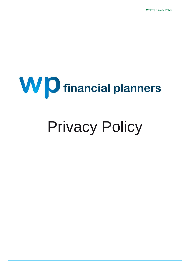# **WD** financial planners

# Privacy Policy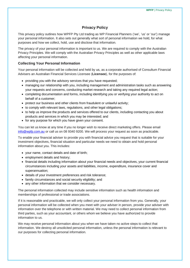# **Privacy Policy**

This privacy policy outlines how WPFP Pty Ltd trading as WP Financial Planners ('we', 'us' or 'our') manage your personal information. It also sets out generally what sort of personal information we hold, for what purposes and how we collect, hold, use and disclose that information.

The privacy of your personal information is important to us. We are required to comply with the Australian Privacy Principles. We will comply with the Australian Privacy Principles as well as other applicable laws affecting your personal information.

### **Collecting Your Personal Information**

Your personal information will be collected and held by us, as a corporate authorised of Consultum Financial Advisers an Australian Financial Services Licensee (**Licensee**), for the purposes of:

- providing you with the advisory services that you have requested;
- managing our relationship with you, including management and administration tasks such as answering your requests and concerns, conducting market research and taking any required legal action;
- completing documentation and forms, including identifying you or verifying your authority to act on behalf of a customer;
- protect our business and other clients from fraudulent or unlawful activity;
- to comply with relevant laws, regulations, and other legal obligations;
- to help us improve the products and services offered to our clients, including contacting you about products and services in which you may be interested; and
- for any purpose for which you have given your consent.

You can let us know at any time if you no longer wish to receive direct marketing offers. Please email [info@wpfp.com.au](mailto:info@wpfp.com.au) or call us on 08 9340 9200. We will process your request as soon as practicable.

To enable your financial adviser to provide you with financial advice you request that is suitable for your investment objectives, financial situation and particular needs we need to obtain and hold personal information about you. This includes:

- your name, contact details and date of birth;
- employment details and history;
- financial details including information about your financial needs and objectives, your current financial circumstances including your assets and liabilities, income, expenditure, insurance cover and superannuation;
- details of your investment preferences and risk tolerance;
- family circumstances and social security eligibility; and
- any other information that we consider necessary.

The personal information collected may include sensitive information such as health information and memberships of professional or trade associations.

If it is reasonable and practicable, we will only collect your personal information from you. Generally, your personal information will be collected when you meet with your adviser in person, provide your adviser with information over the telephone or with written material. We may need to collect personal information from third parties, such as your accountant, or others whom we believe you have authorized to provide information to us.

We may receive personal information about you when we have taken no active steps to collect that information. We destroy all unsolicited personal information, unless the personal information is relevant to our purposes for collecting personal information.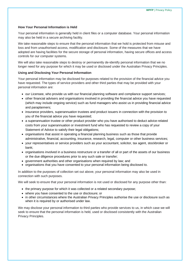### **How Your Personal Information is Held**

Your personal information is generally held in client files or a computer database. Your personal information may also be held in a secure archiving facility.

We take reasonable steps to ensure that the personal information that we hold is protected from misuse and loss and from unauthorised access, modification and disclosure. Some of the measures that we have adopted are having facilities for the secure storage of personal information, having secure offices and access controls for our computer systems.

We will also take reasonable steps to destroy or permanently de-identify personal information that we no longer need for any purpose for which it may be used or disclosed under the Australian Privacy Principles.

### **Using and Disclosing Your Personal Information**

Your personal information may be disclosed for purposes related to the provision of the financial advice you have requested. The types of service providers and other third parties that may be provided with your personal information are:

- our Licensee, who provide us with our financial planning software and compliance support services;
- other financial advisers and organisations involved in providing the financial advice you have requested (which may include ongoing service) such as fund managers who assist us in providing financial advice and paraplanners;
- insurance providers, superannuation trustees and product issuers in connection with the provision to you of the financial advice you have requested;
- a superannuation trustee or other product provider who you have authorised to deduct advice-related costs from your superannuation or investment fund who has requested to review a copy of your Statement of Advice to satisfy their legal obligations;
- organisations that assist in operating a financial planning business such as those that provide administrative, financial, accounting, insurance, research, legal, computer or other business services;
- your representatives or service providers such as your accountant, solicitor, tax agent, stockbroker or bank;
- organisations involved in a business restructure or a transfer of all or part of the assets of our business or the due diligence procedures prior to any such sale or transfer;
- government authorities and other organisations when required by law; and
- organisations that you have consented to your personal information being disclosed to.

In addition to the purposes of collection set out above, your personal information may also be used in connection with such purposes.

We will seek to ensure that your personal information is not used or disclosed for any purpose other than:

- the primary purpose for which it was collected or a related secondary purpose;
- where you have consented to the use or disclosure; or
- in other circumstances where the Australian Privacy Principles authorise the use or disclosure such as when it is required by or authorised under law.

We may disclose your personal information to third parties who provide services to us, in which case we will seek to ensure that the personal information is held, used or disclosed consistently with the Australian Privacy Principles.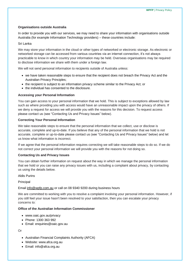### **Organisations outside Australia**

In order to provide you with our services, we may need to share your information with organisations outside Australia (for example Information Technology providers) – these countries include:

### Sri Lanka

We may store your information in the cloud or other types of networked or electronic storage. As electronic or networked storage can be accessed from various countries via an internet connection, it's not always practicable to know in which country your information may be held. Overseas organisations may be required to disclose information we share with them under a foreign law.

We will not send personal information to recipients outside of Australia unless:

- we have taken reasonable steps to ensure that the recipient does not breach the Privacy Act and the Australian Privacy Principles;
- the recipient is subject to an information privacy scheme similar to the Privacy Act; or
- the individual has consented to the disclosure.

### **Accessing your Personal Information**

You can gain access to your personal information that we hold. This is subject to exceptions allowed by law such as where providing you with access would have an unreasonable impact upon the privacy of others. If we deny a request for access we will provide you with the reasons for this decision. To request access please contact us (see "Contacting Us and Privacy Issues" below).

### **Correcting Your Personal Information**

We take reasonable steps to ensure that the personal information that we collect, use or disclose is accurate, complete and up-to-date. If you believe that any of the personal information that we hold is not accurate, complete or up-to-date please contact us (see "Contacting Us and Privacy Issues" below) and let us know what information is incorrect.

If we agree that the personal information requires correcting we will take reasonable steps to do so. If we do not correct your personal information we will provide you with the reasons for not doing so.

### **Contacting Us and Privacy Issues**

You can obtain further information on request about the way in which we manage the personal information that we hold or you can raise any privacy issues with us, including a complaint about privacy, by contacting us using the details below.

### Aldis Purins

### Principal

### Email [info@wpfp.com.au](mailto:info@wpfp.com.au) or call on 08 9340 9200 during business hours

We are committed to working with you to resolve a complaint involving your personal information. However, if you still feel your issue hasn't been resolved to your satisfaction, then you can escalate your privacy concerns to:

### **Office of the Australian Information Commissioner**

- www.oaic.gov.au/privacy
- Phone: 1300 363 992
- Email: enquiries@oaic.gov.au

# Or

- Australian Financial Complaints Authority (AFCA)
- Website: www.afca.org.au
- Email: info@afca.org.au